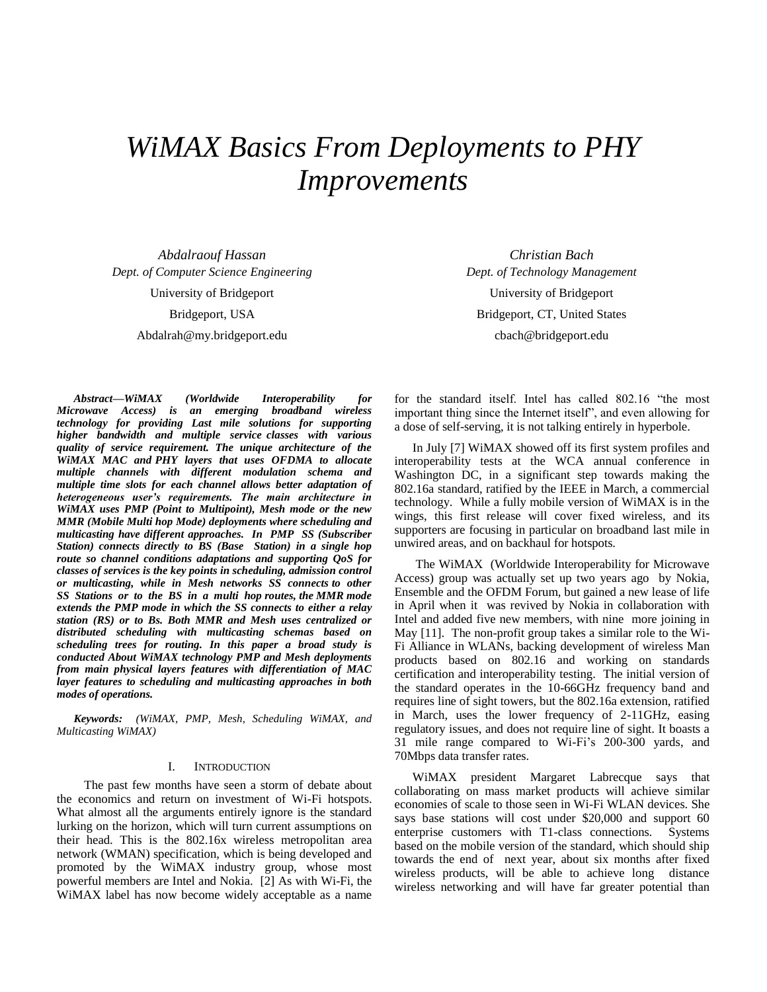# *WiMAX Basics From Deployments to PHY Improvements*

*Abdalraouf Hassan Dept. of Computer Science Engineering*  University of Bridgeport Bridgeport, USA Abdalrah@my.bridgeport.edu

*Abstract***—***WiMAX (Worldwide Interoperability for Microwave Access) is an emerging broadband wireless technology for providing Last mile solutions for supporting higher bandwidth and multiple service classes with various quality of service requirement. The unique architecture of the WiMAX MAC and PHY layers that uses OFDMA to allocate multiple channels with different modulation schema and multiple time slots for each channel allows better adaptation of heterogeneous user's requirements. The main architecture in WiMAX uses PMP (Point to Multipoint), Mesh mode or the new MMR (Mobile Multi hop Mode) deployments where scheduling and multicasting have different approaches. In PMP SS (Subscriber Station) connects directly to BS (Base Station) in a single hop route so channel conditions adaptations and supporting QoS for classes of services is the key points in scheduling, admission control or multicasting, while in Mesh networks SS connects to other SS Stations or to the BS in a multi hop routes, the MMR mode extends the PMP mode in which the SS connects to either a relay station (RS) or to Bs. Both MMR and Mesh uses centralized or distributed scheduling with multicasting schemas based on scheduling trees for routing. In this paper a broad study is conducted About WiMAX technology PMP and Mesh deployments from main physical layers features with differentiation of MAC layer features to scheduling and multicasting approaches in both modes of operations.* 

*Keywords: (WiMAX, PMP, Mesh, Scheduling WiMAX, and Multicasting WiMAX)*

#### I. INTRODUCTION

 The past few months have seen a storm of debate about the economics and return on investment of Wi-Fi hotspots. What almost all the arguments entirely ignore is the standard lurking on the horizon, which will turn current assumptions on their head. This is the 802.16x wireless metropolitan area network (WMAN) specification, which is being developed and promoted by the WiMAX industry group, whose most powerful members are Intel and Nokia. [2] As with Wi-Fi, the WiMAX label has now become widely acceptable as a name

*Christian Bach Dept. of Technology Management*  University of Bridgeport Bridgeport, CT, United States cbach@bridgeport.edu

for the standard itself. Intel has called 802.16 "the most important thing since the Internet itself", and even allowing for a dose of self-serving, it is not talking entirely in hyperbole.

In July [7] WiMAX showed off its first system profiles and interoperability tests at the WCA annual conference in Washington DC, in a significant step towards making the 802.16a standard, ratified by the IEEE in March, a commercial technology. While a fully mobile version of WiMAX is in the wings, this first release will cover fixed wireless, and its supporters are focusing in particular on broadband last mile in unwired areas, and on backhaul for hotspots.

 The WiMAX (Worldwide Interoperability for Microwave Access) group was actually set up two years ago by Nokia, Ensemble and the OFDM Forum, but gained a new lease of life in April when it was revived by Nokia in collaboration with Intel and added five new members, with nine more joining in May [11]. The non-profit group takes a similar role to the Wi-Fi Alliance in WLANs, backing development of wireless Man products based on 802.16 and working on standards certification and interoperability testing. The initial version of the standard operates in the 10-66GHz frequency band and requires line of sight towers, but the 802.16a extension, ratified in March, uses the lower frequency of 2-11GHz, easing regulatory issues, and does not require line of sight. It boasts a 31 mile range compared to Wi-Fi's 200-300 yards, and 70Mbps data transfer rates.

WiMAX president Margaret Labrecque says that collaborating on mass market products will achieve similar economies of scale to those seen in Wi-Fi WLAN devices. She says base stations will cost under \$20,000 and support 60 enterprise customers with T1-class connections. Systems based on the mobile version of the standard, which should ship towards the end of next year, about six months after fixed wireless products, will be able to achieve long distance wireless networking and will have far greater potential than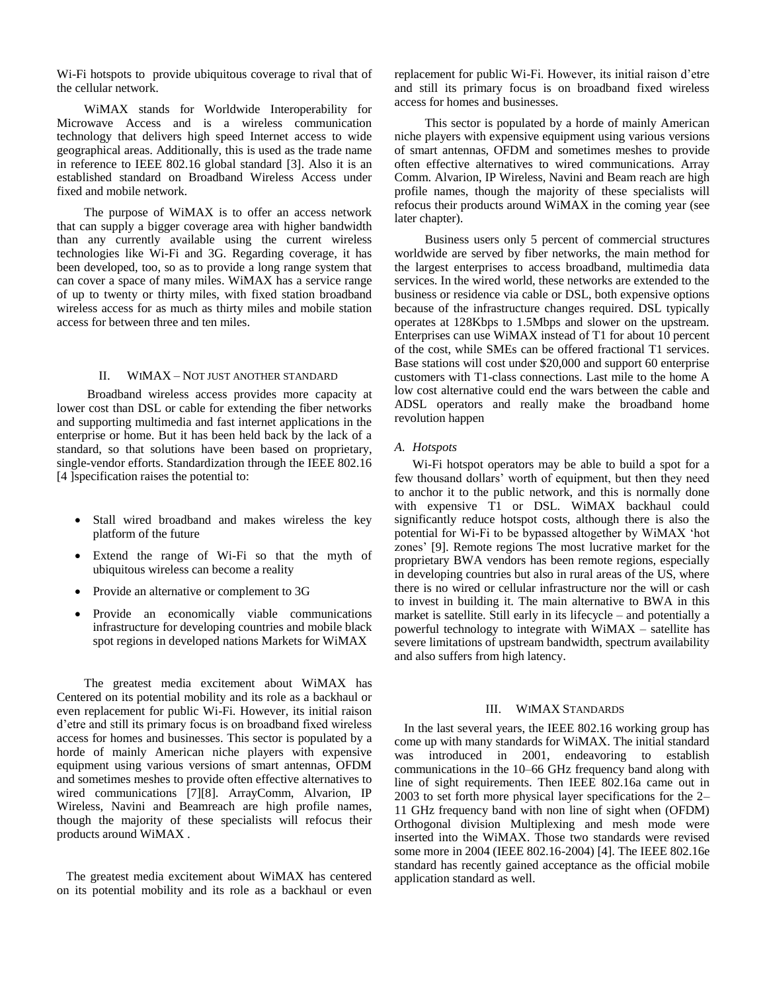Wi-Fi hotspots to provide ubiquitous coverage to rival that of the cellular network.

 WiMAX stands for Worldwide Interoperability for Microwave Access and is a wireless communication technology that delivers high speed Internet access to wide geographical areas. Additionally, this is used as the trade name in reference to IEEE 802.16 global standard [3]. Also it is an established standard on Broadband Wireless Access under fixed and mobile network.

 The purpose of WiMAX is to offer an access network that can supply a bigger coverage area with higher bandwidth than any currently available using the current wireless technologies like Wi-Fi and 3G. Regarding coverage, it has been developed, too, so as to provide a long range system that can cover a space of many miles. WiMAX has a service range of up to twenty or thirty miles, with fixed station broadband wireless access for as much as thirty miles and mobile station access for between three and ten miles.

#### II. WIMAX – NOT JUST ANOTHER STANDARD

 Broadband wireless access provides more capacity at lower cost than DSL or cable for extending the fiber networks and supporting multimedia and fast internet applications in the enterprise or home. But it has been held back by the lack of a standard, so that solutions have been based on proprietary, single-vendor efforts. Standardization through the IEEE 802.16 [4 ]specification raises the potential to:

- Stall wired broadband and makes wireless the key platform of the future
- Extend the range of Wi-Fi so that the myth of ubiquitous wireless can become a reality
- Provide an alternative or complement to 3G
- Provide an economically viable communications infrastructure for developing countries and mobile black spot regions in developed nations Markets for WiMAX

 The greatest media excitement about WiMAX has Centered on its potential mobility and its role as a backhaul or even replacement for public Wi-Fi. However, its initial raison d'etre and still its primary focus is on broadband fixed wireless access for homes and businesses. This sector is populated by a horde of mainly American niche players with expensive equipment using various versions of smart antennas, OFDM and sometimes meshes to provide often effective alternatives to wired communications [7][8]. ArrayComm, Alvarion, IP Wireless, Navini and Beamreach are high profile names, though the majority of these specialists will refocus their products around WiMAX .

 The greatest media excitement about WiMAX has centered on its potential mobility and its role as a backhaul or even replacement for public Wi-Fi. However, its initial raison d'etre and still its primary focus is on broadband fixed wireless access for homes and businesses.

 This sector is populated by a horde of mainly American niche players with expensive equipment using various versions of smart antennas, OFDM and sometimes meshes to provide often effective alternatives to wired communications. Array Comm. Alvarion, IP Wireless, Navini and Beam reach are high profile names, though the majority of these specialists will refocus their products around WiMAX in the coming year (see later chapter).

 Business users only 5 percent of commercial structures worldwide are served by fiber networks, the main method for the largest enterprises to access broadband, multimedia data services. In the wired world, these networks are extended to the business or residence via cable or DSL, both expensive options because of the infrastructure changes required. DSL typically operates at 128Kbps to 1.5Mbps and slower on the upstream. Enterprises can use WiMAX instead of T1 for about 10 percent of the cost, while SMEs can be offered fractional T1 services. Base stations will cost under \$20,000 and support 60 enterprise customers with T1-class connections. Last mile to the home A low cost alternative could end the wars between the cable and ADSL operators and really make the broadband home revolution happen

#### *A. Hotspots*

Wi-Fi hotspot operators may be able to build a spot for a few thousand dollars' worth of equipment, but then they need to anchor it to the public network, and this is normally done with expensive T1 or DSL. WiMAX backhaul could significantly reduce hotspot costs, although there is also the potential for Wi-Fi to be bypassed altogether by WiMAX 'hot zones' [9]. Remote regions The most lucrative market for the proprietary BWA vendors has been remote regions, especially in developing countries but also in rural areas of the US, where there is no wired or cellular infrastructure nor the will or cash to invest in building it. The main alternative to BWA in this market is satellite. Still early in its lifecycle – and potentially a powerful technology to integrate with WiMAX – satellite has severe limitations of upstream bandwidth, spectrum availability and also suffers from high latency.

### III. WIMAX STANDARDS

 In the last several years, the IEEE 802.16 working group has come up with many standards for WiMAX. The initial standard was introduced in 2001, endeavoring to establish communications in the 10–66 GHz frequency band along with line of sight requirements. Then IEEE 802.16a came out in 2003 to set forth more physical layer specifications for the 2– 11 GHz frequency band with non line of sight when (OFDM) Orthogonal division Multiplexing and mesh mode were inserted into the WiMAX. Those two standards were revised some more in 2004 (IEEE 802.16-2004) [4]. The IEEE 802.16e standard has recently gained acceptance as the official mobile application standard as well.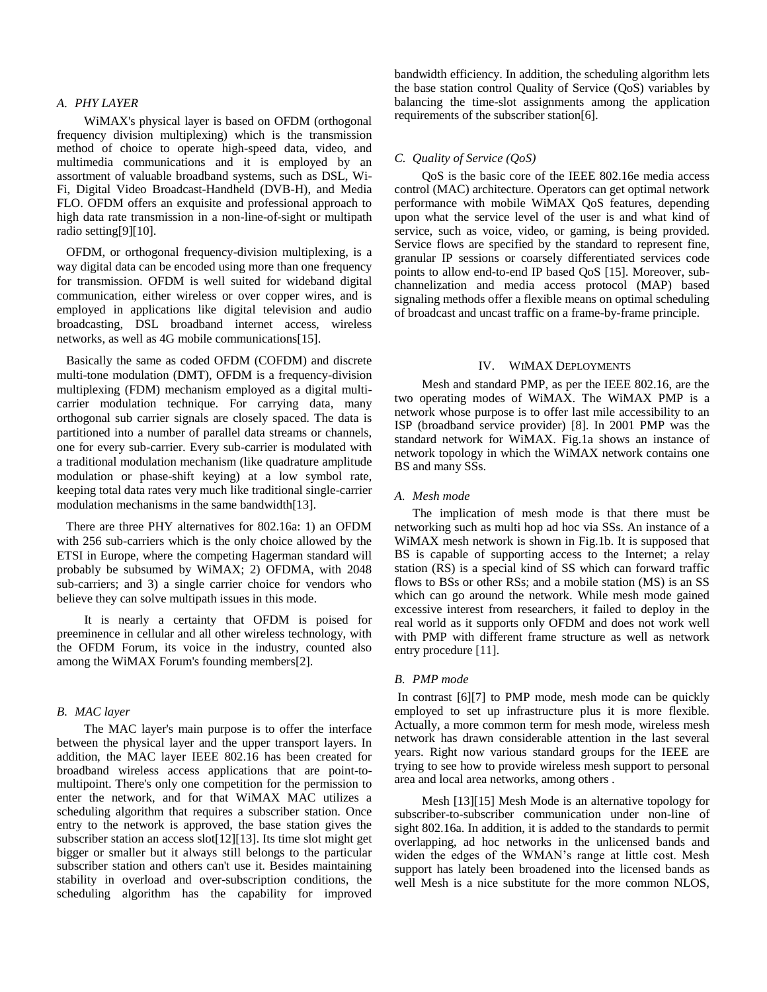## *A. PHY LAYER*

 WiMAX's physical layer is based on OFDM (orthogonal frequency division multiplexing) which is the transmission method of choice to operate high-speed data, video, and multimedia communications and it is employed by an assortment of valuable broadband systems, such as DSL, Wi-Fi, Digital Video Broadcast-Handheld (DVB-H), and Media FLO. OFDM offers an exquisite and professional approach to high data rate transmission in a non-line-of-sight or multipath radio setting[9][10].

 OFDM, or orthogonal frequency-division multiplexing, is a way digital data can be encoded using more than one frequency for transmission. OFDM is well suited for wideband digital communication, either wireless or over copper wires, and is employed in applications like digital television and audio broadcasting, DSL broadband internet access, wireless networks, as well as 4G mobile communications[15].

 Basically the same as coded OFDM (COFDM) and discrete multi-tone modulation (DMT), OFDM is a frequency-division multiplexing (FDM) mechanism employed as a digital multicarrier modulation technique. For carrying data, many orthogonal sub carrier signals are closely spaced. The data is partitioned into a number of parallel data streams or channels, one for every sub-carrier. Every sub-carrier is modulated with a traditional modulation mechanism (like quadrature amplitude modulation or phase-shift keying) at a low symbol rate, keeping total data rates very much like traditional single-carrier modulation mechanisms in the same bandwidth[13].

 There are three PHY alternatives for 802.16a: 1) an OFDM with 256 sub-carriers which is the only choice allowed by the ETSI in Europe, where the competing Hagerman standard will probably be subsumed by WiMAX; 2) OFDMA, with 2048 sub-carriers; and 3) a single carrier choice for vendors who believe they can solve multipath issues in this mode.

 It is nearly a certainty that OFDM is poised for preeminence in cellular and all other wireless technology, with the OFDM Forum, its voice in the industry, counted also among the WiMAX Forum's founding members[2].

### *B. MAC layer*

 The MAC layer's main purpose is to offer the interface between the physical layer and the upper transport layers. In addition, the MAC layer IEEE 802.16 has been created for broadband wireless access applications that are point-tomultipoint. There's only one competition for the permission to enter the network, and for that WiMAX MAC utilizes a scheduling algorithm that requires a subscriber station. Once entry to the network is approved, the base station gives the subscriber station an access slot[12][13]. Its time slot might get bigger or smaller but it always still belongs to the particular subscriber station and others can't use it. Besides maintaining stability in overload and over-subscription conditions, the scheduling algorithm has the capability for improved bandwidth efficiency. In addition, the scheduling algorithm lets the base station control Quality of Service (QoS) variables by balancing the time-slot assignments among the application requirements of the subscriber station[6].

## *C. Quality of Service (QoS)*

 QoS is the basic core of the IEEE 802.16e media access control (MAC) architecture. Operators can get optimal network performance with mobile WiMAX QoS features, depending upon what the service level of the user is and what kind of service, such as voice, video, or gaming, is being provided. Service flows are specified by the standard to represent fine, granular IP sessions or coarsely differentiated services code points to allow end-to-end IP based QoS [15]. Moreover, subchannelization and media access protocol (MAP) based signaling methods offer a flexible means on optimal scheduling of broadcast and uncast traffic on a frame-by-frame principle.

#### IV. WIMAX DEPLOYMENTS

 Mesh and standard PMP, as per the IEEE 802.16, are the two operating modes of WiMAX. The WiMAX PMP is a network whose purpose is to offer last mile accessibility to an ISP (broadband service provider) [8]. In 2001 PMP was the standard network for WiMAX. Fig.1a shows an instance of network topology in which the WiMAX network contains one BS and many SSs.

#### *A. Mesh mode*

The implication of mesh mode is that there must be networking such as multi hop ad hoc via SSs. An instance of a WiMAX mesh network is shown in Fig.1b. It is supposed that BS is capable of supporting access to the Internet; a relay station (RS) is a special kind of SS which can forward traffic flows to BSs or other RSs; and a mobile station (MS) is an SS which can go around the network. While mesh mode gained excessive interest from researchers, it failed to deploy in the real world as it supports only OFDM and does not work well with PMP with different frame structure as well as network entry procedure [11].

#### *B. PMP mode*

In contrast [6][7] to PMP mode, mesh mode can be quickly employed to set up infrastructure plus it is more flexible. Actually, a more common term for mesh mode, wireless mesh network has drawn considerable attention in the last several years. Right now various standard groups for the IEEE are trying to see how to provide wireless mesh support to personal area and local area networks, among others .

 Mesh [13][15] Mesh Mode is an alternative topology for subscriber-to-subscriber communication under non-line of sight 802.16a. In addition, it is added to the standards to permit overlapping, ad hoc networks in the unlicensed bands and widen the edges of the WMAN's range at little cost. Mesh support has lately been broadened into the licensed bands as well Mesh is a nice substitute for the more common NLOS,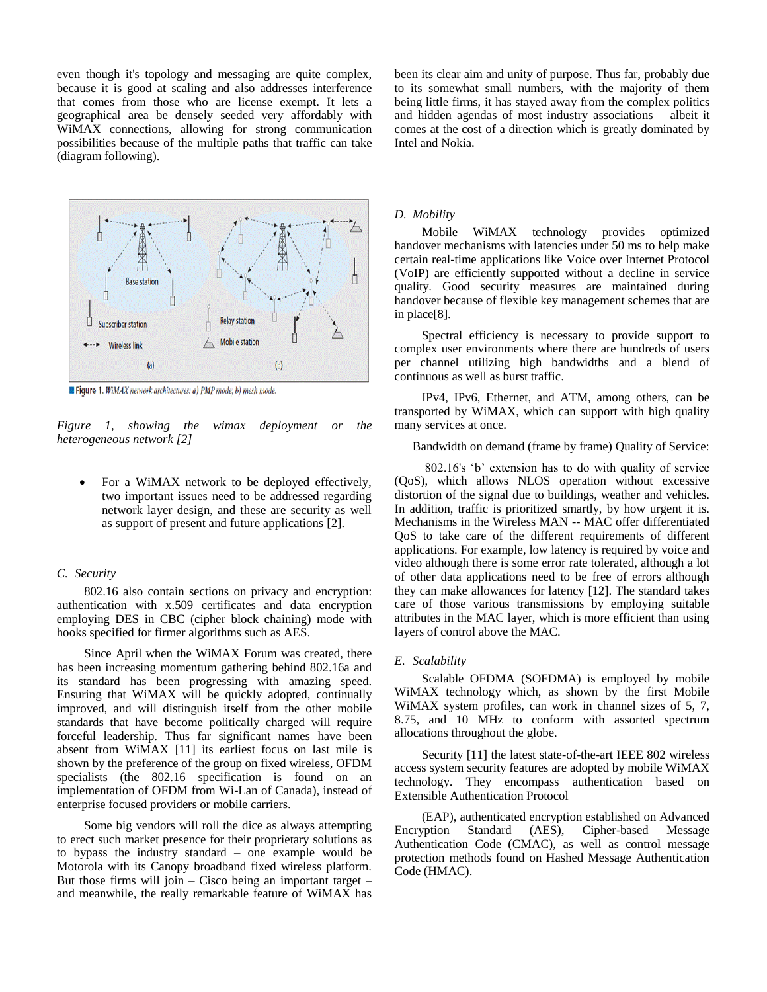even though it's topology and messaging are quite complex, because it is good at scaling and also addresses interference that comes from those who are license exempt. It lets a geographical area be densely seeded very affordably with WiMAX connections, allowing for strong communication possibilities because of the multiple paths that traffic can take (diagram following).



Figure 1. WiMAX network architectures: a) PMP mode: b) mesh mode.

*Figure 1, showing the wimax deployment or the heterogeneous network [2]*

 For a WiMAX network to be deployed effectively, two important issues need to be addressed regarding network layer design, and these are security as well as support of present and future applications [2].

## *C. Security*

 802.16 also contain sections on privacy and encryption: authentication with x.509 certificates and data encryption employing DES in CBC (cipher block chaining) mode with hooks specified for firmer algorithms such as AES.

 Since April when the WiMAX Forum was created, there has been increasing momentum gathering behind 802.16a and its standard has been progressing with amazing speed. Ensuring that WiMAX will be quickly adopted, continually improved, and will distinguish itself from the other mobile standards that have become politically charged will require forceful leadership. Thus far significant names have been absent from WiMAX [11] its earliest focus on last mile is shown by the preference of the group on fixed wireless, OFDM specialists (the 802.16 specification is found on an implementation of OFDM from Wi-Lan of Canada), instead of enterprise focused providers or mobile carriers.

 Some big vendors will roll the dice as always attempting to erect such market presence for their proprietary solutions as to bypass the industry standard – one example would be Motorola with its Canopy broadband fixed wireless platform. But those firms will join – Cisco being an important target – and meanwhile, the really remarkable feature of WiMAX has

been its clear aim and unity of purpose. Thus far, probably due to its somewhat small numbers, with the majority of them being little firms, it has stayed away from the complex politics and hidden agendas of most industry associations – albeit it comes at the cost of a direction which is greatly dominated by Intel and Nokia.

#### *D. Mobility*

 Mobile WiMAX technology provides optimized handover mechanisms with latencies under 50 ms to help make certain real-time applications like Voice over Internet Protocol (VoIP) are efficiently supported without a decline in service quality. Good security measures are maintained during handover because of flexible key management schemes that are in place[8].

 Spectral efficiency is necessary to provide support to complex user environments where there are hundreds of users per channel utilizing high bandwidths and a blend of continuous as well as burst traffic.

 IPv4, IPv6, Ethernet, and ATM, among others, can be transported by WiMAX, which can support with high quality many services at once.

Bandwidth on demand (frame by frame) Quality of Service:

 802.16's 'b' extension has to do with quality of service (QoS), which allows NLOS operation without excessive distortion of the signal due to buildings, weather and vehicles. In addition, traffic is prioritized smartly, by how urgent it is. Mechanisms in the Wireless MAN -- MAC offer differentiated QoS to take care of the different requirements of different applications. For example, low latency is required by voice and video although there is some error rate tolerated, although a lot of other data applications need to be free of errors although they can make allowances for latency [12]. The standard takes care of those various transmissions by employing suitable attributes in the MAC layer, which is more efficient than using layers of control above the MAC.

#### *E. Scalability*

 Scalable OFDMA (SOFDMA) is employed by mobile WiMAX technology which, as shown by the first Mobile WiMAX system profiles, can work in channel sizes of 5, 7, 8.75, and 10 MHz to conform with assorted spectrum allocations throughout the globe.

 Security [11] the latest state-of-the-art IEEE 802 wireless access system security features are adopted by mobile WiMAX technology. They encompass authentication based on Extensible Authentication Protocol

 (EAP), authenticated encryption established on Advanced Encryption Standard (AES), Cipher-based Message Authentication Code (CMAC), as well as control message protection methods found on Hashed Message Authentication Code (HMAC).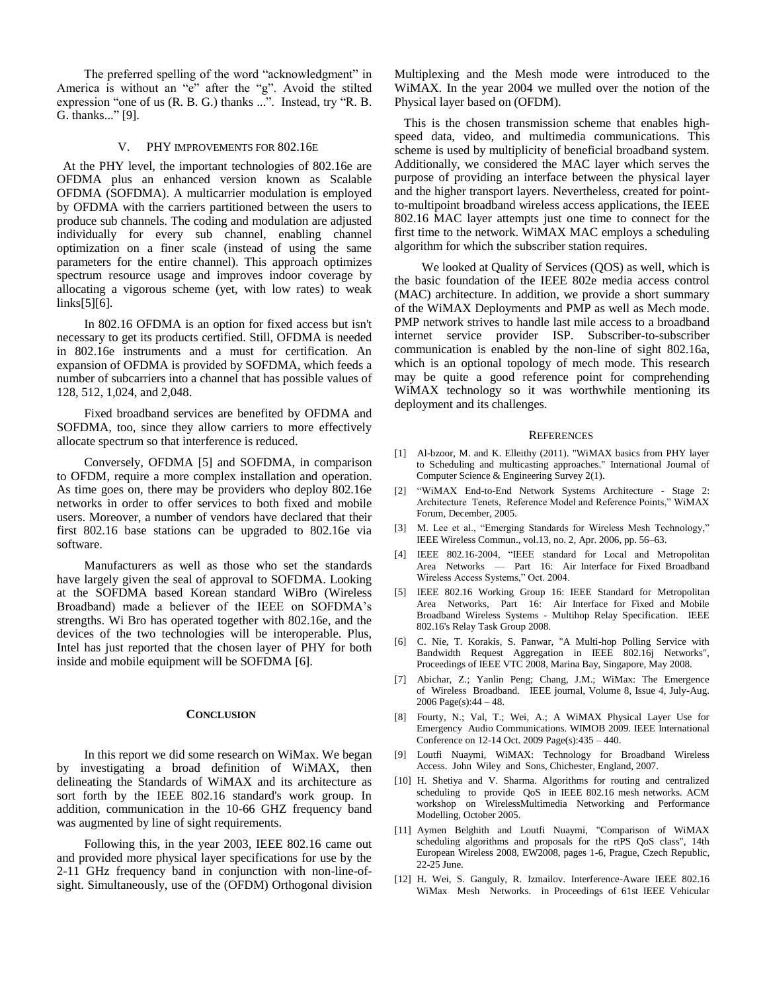The preferred spelling of the word "acknowledgment" in America is without an "e" after the "g". Avoid the stilted expression "one of us (R. B. G.) thanks ...". Instead, try "R. B. G. thanks..." [9].

#### V. PHY IMPROVEMENTS FOR 802.16E

 At the PHY level, the important technologies of 802.16e are OFDMA plus an enhanced version known as Scalable OFDMA (SOFDMA). A multicarrier modulation is employed by OFDMA with the carriers partitioned between the users to produce sub channels. The coding and modulation are adjusted individually for every sub channel, enabling channel optimization on a finer scale (instead of using the same parameters for the entire channel). This approach optimizes spectrum resource usage and improves indoor coverage by allocating a vigorous scheme (yet, with low rates) to weak links[5][6].

 In 802.16 OFDMA is an option for fixed access but isn't necessary to get its products certified. Still, OFDMA is needed in 802.16e instruments and a must for certification. An expansion of OFDMA is provided by SOFDMA, which feeds a number of subcarriers into a channel that has possible values of 128, 512, 1,024, and 2,048.

 Fixed broadband services are benefited by OFDMA and SOFDMA, too, since they allow carriers to more effectively allocate spectrum so that interference is reduced.

 Conversely, OFDMA [5] and SOFDMA, in comparison to OFDM, require a more complex installation and operation. As time goes on, there may be providers who deploy 802.16e networks in order to offer services to both fixed and mobile users. Moreover, a number of vendors have declared that their first 802.16 base stations can be upgraded to 802.16e via software.

 Manufacturers as well as those who set the standards have largely given the seal of approval to SOFDMA. Looking at the SOFDMA based Korean standard WiBro (Wireless Broadband) made a believer of the IEEE on SOFDMA's strengths. Wi Bro has operated together with 802.16e, and the devices of the two technologies will be interoperable. Plus, Intel has just reported that the chosen layer of PHY for both inside and mobile equipment will be SOFDMA [6].

#### **CONCLUSION**

 In this report we did some research on WiMax. We began by investigating a broad definition of WiMAX, then delineating the Standards of WiMAX and its architecture as sort forth by the IEEE 802.16 standard's work group. In addition, communication in the 10-66 GHZ frequency band was augmented by line of sight requirements.

 Following this, in the year 2003, IEEE 802.16 came out and provided more physical layer specifications for use by the 2-11 GHz frequency band in conjunction with non-line-ofsight. Simultaneously, use of the (OFDM) Orthogonal division

Multiplexing and the Mesh mode were introduced to the WiMAX. In the year 2004 we mulled over the notion of the Physical layer based on (OFDM).

 This is the chosen transmission scheme that enables highspeed data, video, and multimedia communications. This scheme is used by multiplicity of beneficial broadband system. Additionally, we considered the MAC layer which serves the purpose of providing an interface between the physical layer and the higher transport layers. Nevertheless, created for pointto-multipoint broadband wireless access applications, the IEEE 802.16 MAC layer attempts just one time to connect for the first time to the network. WiMAX MAC employs a scheduling algorithm for which the subscriber station requires.

 We looked at Quality of Services (QOS) as well, which is the basic foundation of the IEEE 802e media access control (MAC) architecture. In addition, we provide a short summary of the WiMAX Deployments and PMP as well as Mech mode. PMP network strives to handle last mile access to a broadband internet service provider ISP. Subscriber-to-subscriber communication is enabled by the non-line of sight 802.16a, which is an optional topology of mech mode. This research may be quite a good reference point for comprehending WiMAX technology so it was worthwhile mentioning its deployment and its challenges.

#### **REFERENCES**

- [1] Al-bzoor, M. and K. Elleithy (2011). "WiMAX basics from PHY layer to Scheduling and multicasting approaches." International Journal of Computer Science & Engineering Survey 2(1).
- [2] "WiMAX End-to-End Network Systems Architecture Stage 2: Architecture Tenets, Reference Model and Reference Points," WiMAX Forum, December, 2005.
- [3] M. Lee et al., "Emerging Standards for Wireless Mesh Technology," IEEE Wireless Commun., vol.13, no. 2, Apr. 2006, pp. 56–63.
- [4] IEEE 802.16-2004, "IEEE standard for Local and Metropolitan Area Networks — Part 16: Air Interface for Fixed Broadband Wireless Access Systems," Oct. 2004.
- [5] IEEE 802.16 Working Group 16: IEEE Standard for Metropolitan Area Networks, Part 16: Air Interface for Fixed and Mobile Broadband Wireless Systems - Multihop Relay Specification. IEEE 802.16's Relay Task Group 2008.
- [6] C. Nie, T. Korakis, S. Panwar, "A Multi-hop Polling Service with Bandwidth Request Aggregation in IEEE 802.16j Networks", Proceedings of IEEE VTC 2008, Marina Bay, Singapore, May 2008.
- [7] Abichar, Z.; Yanlin Peng; Chang, J.M.; WiMax: The Emergence of Wireless Broadband. IEEE journal, Volume 8, Issue 4, July-Aug. 2006 Page(s):44 – 48.
- [8] Fourty, N.; Val, T.; Wei, A.; A WiMAX Physical Layer Use for Emergency Audio Communications. WIMOB 2009. IEEE International Conference on 12-14 Oct. 2009 Page(s):435 – 440.
- [9] Loutfi Nuaymi, WiMAX: Technology for Broadband Wireless Access. John Wiley and Sons, Chichester, England, 2007.
- [10] H. Shetiya and V. Sharma. Algorithms for routing and centralized scheduling to provide QoS in IEEE 802.16 mesh networks. ACM workshop on WirelessMultimedia Networking and Performance Modelling, October 2005.
- [11] Aymen Belghith and Loutfi Nuaymi, "Comparison of WiMAX scheduling algorithms and proposals for the rtPS QoS class", 14th European Wireless 2008, EW2008, pages 1-6, Prague, Czech Republic, 22-25 June.
- [12] H. Wei, S. Ganguly, R. Izmailov. Interference-Aware IEEE 802.16 WiMax Mesh Networks. in Proceedings of 61st IEEE Vehicular